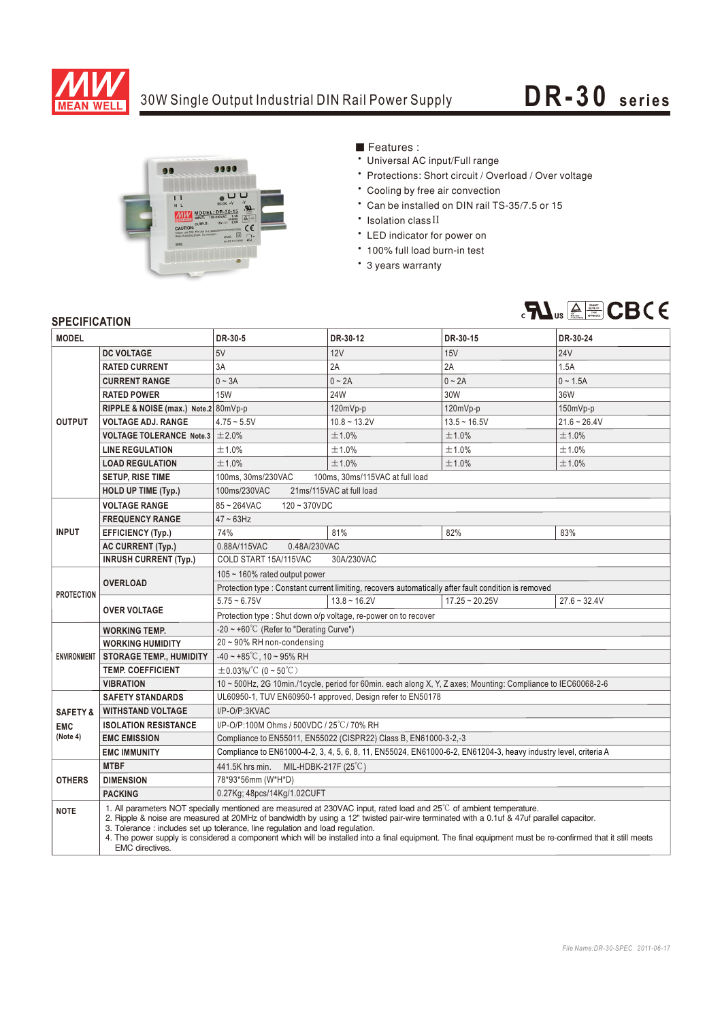

## 30W Single Output Industrial DIN Rail Power Supply **DR-30** series



Features:

- Universal AC input/Full range
- \* Protections: Short circuit / Overload / Over voltage
- \* Cooling by free air convection
- \* Can be installed on DIN rail TS-35/7.5 or 15
- Isolation class II
- LED indicator for power on
- \* 100% full load burn-in test
- \* 3 years warranty



## **SPECIFICATION**

| <b>MODEL</b>        |                                                                                                                                                                                                                                                                                                                                                                                                                                                                                                                                          | DR-30-5                                                                                                         | DR-30-12       | DR-30-15         | DR-30-24       |
|---------------------|------------------------------------------------------------------------------------------------------------------------------------------------------------------------------------------------------------------------------------------------------------------------------------------------------------------------------------------------------------------------------------------------------------------------------------------------------------------------------------------------------------------------------------------|-----------------------------------------------------------------------------------------------------------------|----------------|------------------|----------------|
| <b>OUTPUT</b>       | <b>DC VOLTAGE</b>                                                                                                                                                                                                                                                                                                                                                                                                                                                                                                                        | 5V                                                                                                              | 12V            | 15V              | <b>24V</b>     |
|                     | <b>RATED CURRENT</b>                                                                                                                                                                                                                                                                                                                                                                                                                                                                                                                     | 3A                                                                                                              | 2A             | 2A               | 1.5A           |
|                     | <b>CURRENT RANGE</b>                                                                                                                                                                                                                                                                                                                                                                                                                                                                                                                     | $0 \sim 3A$                                                                                                     | $0 - 2A$       | $0 - 2A$         | $0 - 1.5A$     |
|                     | <b>RATED POWER</b>                                                                                                                                                                                                                                                                                                                                                                                                                                                                                                                       | <b>15W</b>                                                                                                      | 24W            | 30W              | 36W            |
|                     | RIPPLE & NOISE (max.) Note.2 80mVp-p                                                                                                                                                                                                                                                                                                                                                                                                                                                                                                     |                                                                                                                 | 120mVp-p       | 120mVp-p         | 150mVp-p       |
|                     | <b>VOLTAGE ADJ. RANGE</b>                                                                                                                                                                                                                                                                                                                                                                                                                                                                                                                | $4.75 - 5.5V$                                                                                                   | $10.8 - 13.2V$ | $13.5 - 16.5V$   | $21.6 - 26.4V$ |
|                     | <b>VOLTAGE TOLERANCE Note.3 <math>\pm 2.0\%</math></b>                                                                                                                                                                                                                                                                                                                                                                                                                                                                                   |                                                                                                                 | ±1.0%          | ±1.0%            | ±1.0%          |
|                     | <b>LINE REGULATION</b>                                                                                                                                                                                                                                                                                                                                                                                                                                                                                                                   | ±1.0%                                                                                                           | ±1.0%          | ±1.0%            | ±1.0%          |
|                     | <b>LOAD REGULATION</b>                                                                                                                                                                                                                                                                                                                                                                                                                                                                                                                   | ±1.0%                                                                                                           | ±1.0%          | ±1.0%            | ±1.0%          |
|                     | <b>SETUP, RISE TIME</b>                                                                                                                                                                                                                                                                                                                                                                                                                                                                                                                  | 100ms, 30ms/230VAC<br>100ms, 30ms/115VAC at full load                                                           |                |                  |                |
|                     | <b>HOLD UP TIME (Typ.)</b>                                                                                                                                                                                                                                                                                                                                                                                                                                                                                                               | 100ms/230VAC<br>21ms/115VAC at full load                                                                        |                |                  |                |
| <b>INPUT</b>        | <b>VOLTAGE RANGE</b>                                                                                                                                                                                                                                                                                                                                                                                                                                                                                                                     | $85 - 264$ VAC<br>$120 - 370VDC$                                                                                |                |                  |                |
|                     | <b>FREQUENCY RANGE</b>                                                                                                                                                                                                                                                                                                                                                                                                                                                                                                                   | $47 \sim 63$ Hz                                                                                                 |                |                  |                |
|                     | <b>EFFICIENCY (Typ.)</b>                                                                                                                                                                                                                                                                                                                                                                                                                                                                                                                 | 74%                                                                                                             | 81%            | 82%              | 83%            |
|                     | <b>AC CURRENT (Typ.)</b>                                                                                                                                                                                                                                                                                                                                                                                                                                                                                                                 | 0.88A/115VAC<br>0.48A/230VAC                                                                                    |                |                  |                |
|                     | <b>INRUSH CURRENT (Typ.)</b>                                                                                                                                                                                                                                                                                                                                                                                                                                                                                                             | COLD START 15A/115VAC<br>30A/230VAC                                                                             |                |                  |                |
| <b>PROTECTION</b>   | <b>OVERLOAD</b>                                                                                                                                                                                                                                                                                                                                                                                                                                                                                                                          | 105 $\sim$ 160% rated output power                                                                              |                |                  |                |
|                     |                                                                                                                                                                                                                                                                                                                                                                                                                                                                                                                                          | Protection type : Constant current limiting, recovers automatically after fault condition is removed            |                |                  |                |
|                     | <b>OVER VOLTAGE</b>                                                                                                                                                                                                                                                                                                                                                                                                                                                                                                                      | $5.75 - 6.75V$                                                                                                  | $13.8 - 16.2V$ | $17.25 - 20.25V$ | $27.6 - 32.4V$ |
|                     |                                                                                                                                                                                                                                                                                                                                                                                                                                                                                                                                          | Protection type : Shut down o/p voltage, re-power on to recover                                                 |                |                  |                |
| <b>ENVIRONMENT</b>  | <b>WORKING TEMP.</b>                                                                                                                                                                                                                                                                                                                                                                                                                                                                                                                     | -20 $\sim$ +60°C (Refer to "Derating Curve")                                                                    |                |                  |                |
|                     | <b>WORKING HUMIDITY</b>                                                                                                                                                                                                                                                                                                                                                                                                                                                                                                                  | 20~90% RH non-condensing                                                                                        |                |                  |                |
|                     | <b>STORAGE TEMP., HUMIDITY</b>                                                                                                                                                                                                                                                                                                                                                                                                                                                                                                           | $-40 \sim +85^{\circ}$ C, 10 ~ 95% RH                                                                           |                |                  |                |
|                     | <b>TEMP, COEFFICIENT</b>                                                                                                                                                                                                                                                                                                                                                                                                                                                                                                                 | $\pm$ 0.03%/°C (0~50°C)                                                                                         |                |                  |                |
|                     | <b>VIBRATION</b>                                                                                                                                                                                                                                                                                                                                                                                                                                                                                                                         | 10 ~ 500Hz, 2G 10min./1cycle, period for 60min. each along X, Y, Z axes; Mounting: Compliance to IEC60068-2-6   |                |                  |                |
|                     | <b>SAFETY STANDARDS</b>                                                                                                                                                                                                                                                                                                                                                                                                                                                                                                                  | UL60950-1, TUV EN60950-1 approved, Design refer to EN50178<br>I/P-O/P:3KVAC                                     |                |                  |                |
| <b>SAFETY &amp;</b> | <b>WITHSTAND VOLTAGE</b>                                                                                                                                                                                                                                                                                                                                                                                                                                                                                                                 |                                                                                                                 |                |                  |                |
| <b>EMC</b>          | <b>ISOLATION RESISTANCE</b>                                                                                                                                                                                                                                                                                                                                                                                                                                                                                                              | I/P-O/P:100M Ohms / 500VDC / 25°C / 70% RH                                                                      |                |                  |                |
| (Note 4)            | <b>EMC EMISSION</b>                                                                                                                                                                                                                                                                                                                                                                                                                                                                                                                      | Compliance to EN55011, EN55022 (CISPR22) Class B, EN61000-3-2,-3                                                |                |                  |                |
|                     | <b>EMC IMMUNITY</b>                                                                                                                                                                                                                                                                                                                                                                                                                                                                                                                      | Compliance to EN61000-4-2, 3, 4, 5, 6, 8, 11, EN55024, EN61000-6-2, EN61204-3, heavy industry level, criteria A |                |                  |                |
| <b>OTHERS</b>       | <b>MTBF</b>                                                                                                                                                                                                                                                                                                                                                                                                                                                                                                                              | MIL-HDBK-217F (25°C)<br>441.5K hrs min.                                                                         |                |                  |                |
|                     | <b>DIMENSION</b>                                                                                                                                                                                                                                                                                                                                                                                                                                                                                                                         | 78*93*56mm (W*H*D)                                                                                              |                |                  |                |
|                     | <b>PACKING</b>                                                                                                                                                                                                                                                                                                                                                                                                                                                                                                                           | 0.27Kg; 48pcs/14Kg/1.02CUFT                                                                                     |                |                  |                |
| <b>NOTE</b>         | 1. All parameters NOT specially mentioned are measured at 230VAC input, rated load and 25°C of ambient temperature.<br>2. Ripple & noise are measured at 20MHz of bandwidth by using a 12" twisted pair-wire terminated with a 0.1uf & 47uf parallel capacitor.<br>3. Tolerance: includes set up tolerance, line regulation and load regulation.<br>4. The power supply is considered a component which will be installed into a final equipment. The final equipment must be re-confirmed that it still meets<br><b>EMC</b> directives. |                                                                                                                 |                |                  |                |